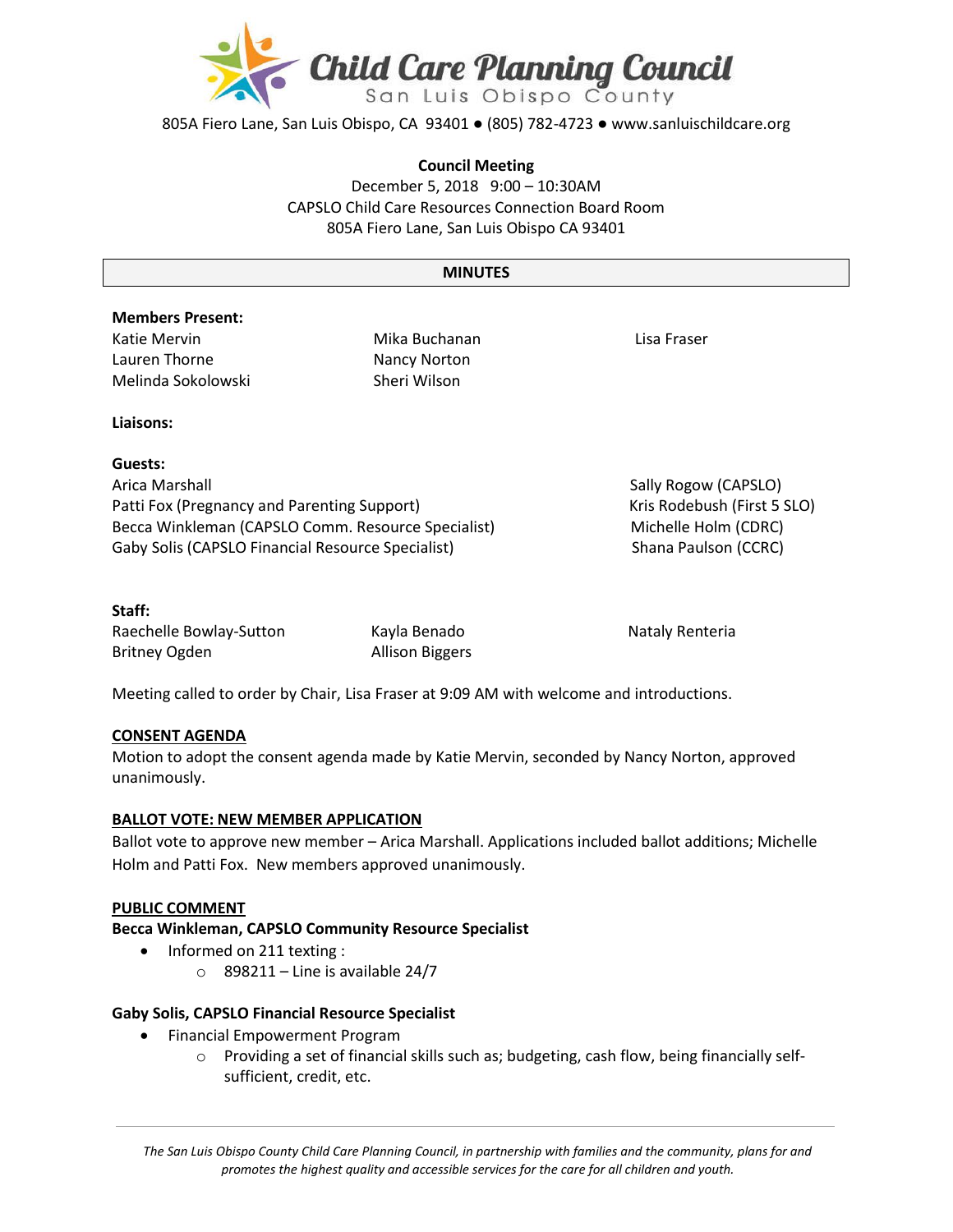

805A Fiero Lane, San Luis Obispo, CA 93401 ● (805) 782-4723 ● www.sanluischildcare.org

### **Council Meeting**

December 5, 2018 9:00 – 10:30AM CAPSLO Child Care Resources Connection Board Room 805A Fiero Lane, San Luis Obispo CA 93401

#### **MINUTES**

# **Members Present:**

Katie Mervin Lauren Thorne Melinda Sokolowski Mika Buchanan Nancy Norton Sheri Wilson

Lisa Fraser

## **Liaisons:**

# **Guests:**

Arica Marshall **Arica Marshall** Sally Rogow (CAPSLO) Patti Fox (Pregnancy and Parenting Support) Kris Rodebush (First 5 SLO) Becca Winkleman (CAPSLO Comm. Resource Specialist) Michelle Holm (CDRC) Gaby Solis (CAPSLO Financial Resource Specialist) Shana Paulson (CCRC)

## **Staff:**

Raechelle Bowlay-Sutton Kayla Benado Nataly Renteria Britney Ogden Allison Biggers

Meeting called to order by Chair, Lisa Fraser at 9:09 AM with welcome and introductions.

# **CONSENT AGENDA**

Motion to adopt the consent agenda made by Katie Mervin, seconded by Nancy Norton, approved unanimously.

#### **BALLOT VOTE: NEW MEMBER APPLICATION**

Ballot vote to approve new member – Arica Marshall. Applications included ballot additions; Michelle Holm and Patti Fox. New members approved unanimously.

#### **PUBLIC COMMENT**

#### **Becca Winkleman, CAPSLO Community Resource Specialist**

- Informed on 211 texting :
	- $\circ$  898211 Line is available 24/7

# **Gaby Solis, CAPSLO Financial Resource Specialist**

- Financial Empowerment Program
	- o Providing a set of financial skills such as; budgeting, cash flow, being financially selfsufficient, credit, etc.

*The San Luis Obispo County Child Care Planning Council, in partnership with families and the community, plans for and promotes the highest quality and accessible services for the care for all children and youth.*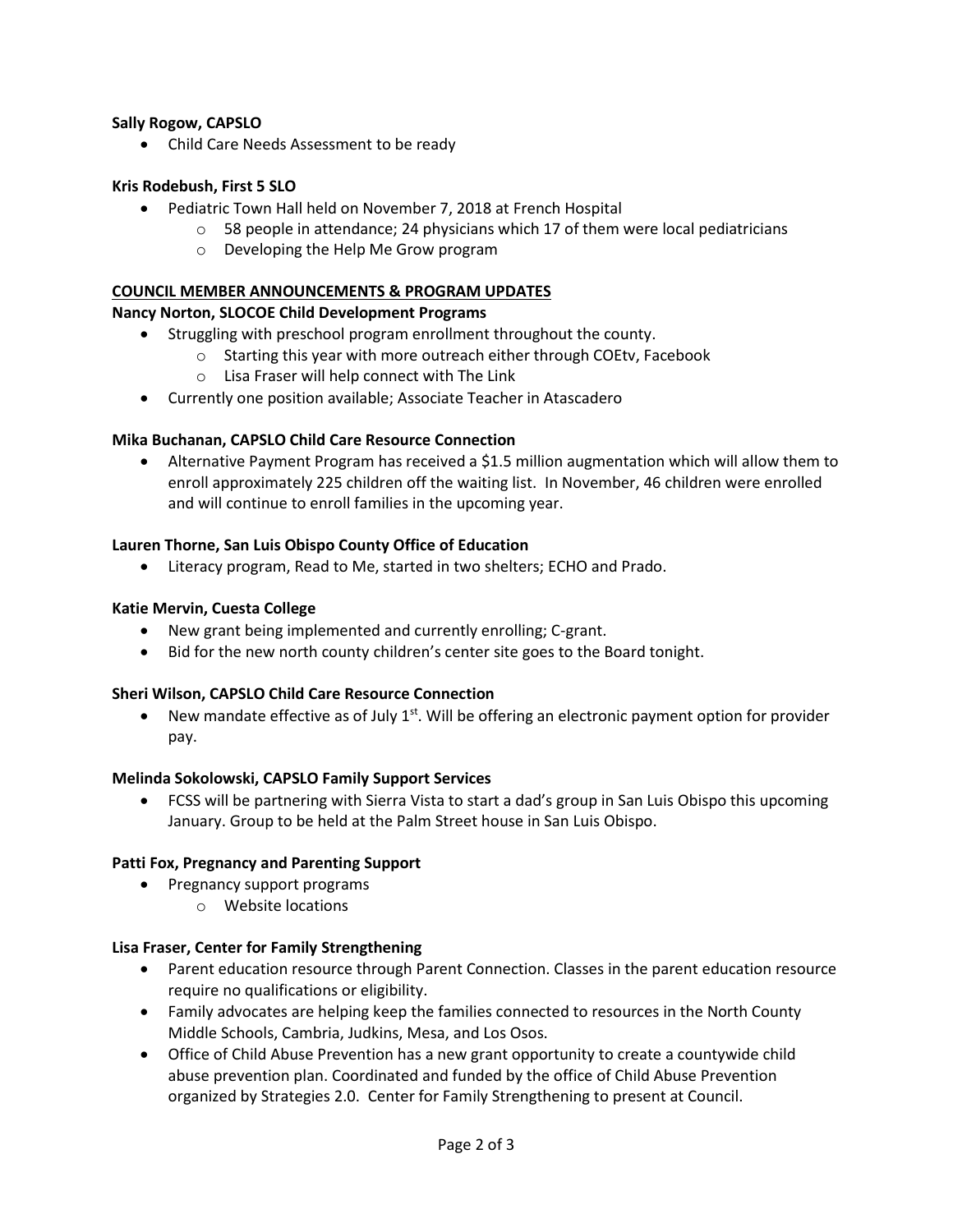# **Sally Rogow, CAPSLO**

Child Care Needs Assessment to be ready

### **Kris Rodebush, First 5 SLO**

- Pediatric Town Hall held on November 7, 2018 at French Hospital
	- $\circ$  58 people in attendance; 24 physicians which 17 of them were local pediatricians
	- o Developing the Help Me Grow program

#### **COUNCIL MEMBER ANNOUNCEMENTS & PROGRAM UPDATES**

## **Nancy Norton, SLOCOE Child Development Programs**

- Struggling with preschool program enrollment throughout the county.
	- o Starting this year with more outreach either through COEtv, Facebook
		- o Lisa Fraser will help connect with The Link
- Currently one position available; Associate Teacher in Atascadero

#### **Mika Buchanan, CAPSLO Child Care Resource Connection**

 Alternative Payment Program has received a \$1.5 million augmentation which will allow them to enroll approximately 225 children off the waiting list. In November, 46 children were enrolled and will continue to enroll families in the upcoming year.

#### **Lauren Thorne, San Luis Obispo County Office of Education**

Literacy program, Read to Me, started in two shelters; ECHO and Prado.

### **Katie Mervin, Cuesta College**

- New grant being implemented and currently enrolling; C-grant.
- Bid for the new north county children's center site goes to the Board tonight.

#### **Sheri Wilson, CAPSLO Child Care Resource Connection**

 $\bullet$  New mandate effective as of July 1<sup>st</sup>. Will be offering an electronic payment option for provider pay.

#### **Melinda Sokolowski, CAPSLO Family Support Services**

 FCSS will be partnering with Sierra Vista to start a dad's group in San Luis Obispo this upcoming January. Group to be held at the Palm Street house in San Luis Obispo.

#### **Patti Fox, Pregnancy and Parenting Support**

- Pregnancy support programs
	- o Website locations

#### **Lisa Fraser, Center for Family Strengthening**

- Parent education resource through Parent Connection. Classes in the parent education resource require no qualifications or eligibility.
- Family advocates are helping keep the families connected to resources in the North County Middle Schools, Cambria, Judkins, Mesa, and Los Osos.
- Office of Child Abuse Prevention has a new grant opportunity to create a countywide child abuse prevention plan. Coordinated and funded by the office of Child Abuse Prevention organized by Strategies 2.0. Center for Family Strengthening to present at Council.